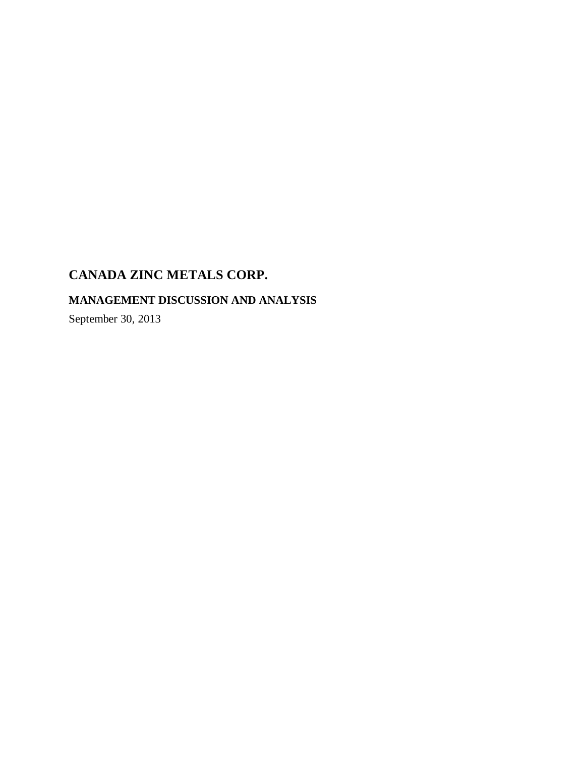## **MANAGEMENT DISCUSSION AND ANALYSIS**

September 30, 2013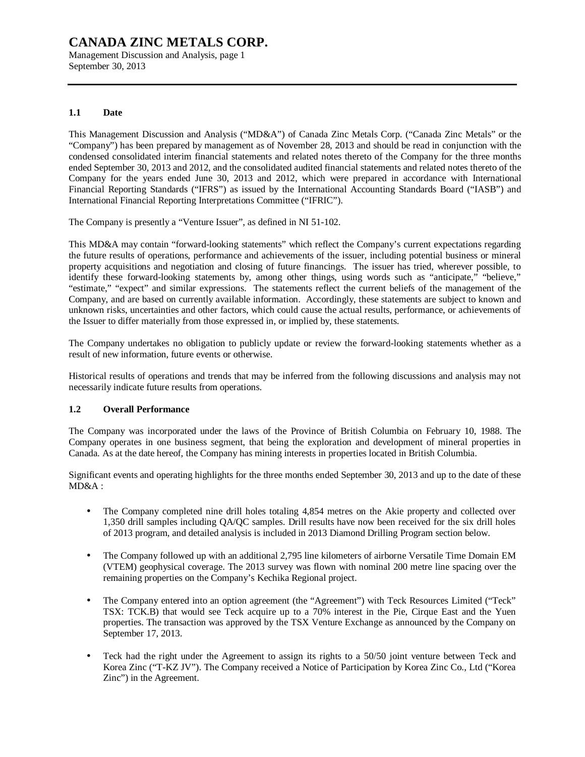Management Discussion and Analysis, page 1 September 30, 2013

#### **1.1 Date**

This Management Discussion and Analysis ("MD&A") of Canada Zinc Metals Corp. ("Canada Zinc Metals" or the "Company") has been prepared by management as of November 28, 2013 and should be read in conjunction with the condensed consolidated interim financial statements and related notes thereto of the Company for the three months ended September 30, 2013 and 2012, and the consolidated audited financial statements and related notes thereto of the Company for the years ended June 30, 2013 and 2012, which were prepared in accordance with International Financial Reporting Standards ("IFRS") as issued by the International Accounting Standards Board ("IASB") and International Financial Reporting Interpretations Committee ("IFRIC").

The Company is presently a "Venture Issuer", as defined in NI 51-102.

This MD&A may contain "forward-looking statements" which reflect the Company's current expectations regarding the future results of operations, performance and achievements of the issuer, including potential business or mineral property acquisitions and negotiation and closing of future financings. The issuer has tried, wherever possible, to identify these forward-looking statements by, among other things, using words such as "anticipate," "believe," "estimate," "expect" and similar expressions. The statements reflect the current beliefs of the management of the Company, and are based on currently available information. Accordingly, these statements are subject to known and unknown risks, uncertainties and other factors, which could cause the actual results, performance, or achievements of the Issuer to differ materially from those expressed in, or implied by, these statements.

The Company undertakes no obligation to publicly update or review the forward-looking statements whether as a result of new information, future events or otherwise.

Historical results of operations and trends that may be inferred from the following discussions and analysis may not necessarily indicate future results from operations.

#### **1.2 Overall Performance**

The Company was incorporated under the laws of the Province of British Columbia on February 10, 1988. The Company operates in one business segment, that being the exploration and development of mineral properties in Canada. As at the date hereof, the Company has mining interests in properties located in British Columbia.

Significant events and operating highlights for the three months ended September 30, 2013 and up to the date of these MD&A :

- The Company completed nine drill holes totaling 4,854 metres on the Akie property and collected over 1,350 drill samples including QA/QC samples. Drill results have now been received for the six drill holes of 2013 program, and detailed analysis is included in 2013 Diamond Drilling Program section below.
- The Company followed up with an additional 2,795 line kilometers of airborne Versatile Time Domain EM (VTEM) geophysical coverage. The 2013 survey was flown with nominal 200 metre line spacing over the remaining properties on the Company's Kechika Regional project.
- The Company entered into an option agreement (the "Agreement") with Teck Resources Limited ("Teck" TSX: TCK.B) that would see Teck acquire up to a 70% interest in the Pie, Cirque East and the Yuen properties. The transaction was approved by the TSX Venture Exchange as announced by the Company on September 17, 2013.
- Teck had the right under the Agreement to assign its rights to a 50/50 joint venture between Teck and Korea Zinc ("T-KZ JV"). The Company received a Notice of Participation by Korea Zinc Co., Ltd ("Korea Zinc") in the Agreement.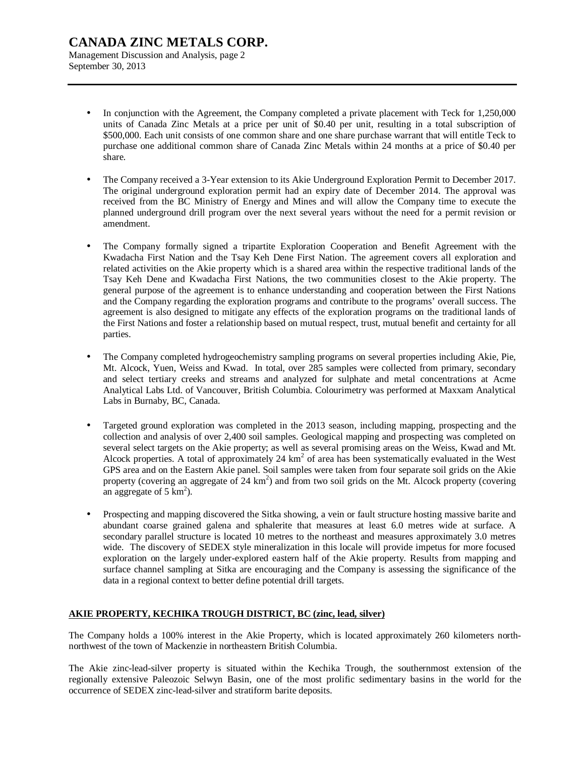Management Discussion and Analysis, page 2 September 30, 2013

- In conjunction with the Agreement, the Company completed a private placement with Teck for 1,250,000 units of Canada Zinc Metals at a price per unit of \$0.40 per unit, resulting in a total subscription of \$500,000. Each unit consists of one common share and one share purchase warrant that will entitle Teck to purchase one additional common share of Canada Zinc Metals within 24 months at a price of \$0.40 per share.
- The Company received a 3-Year extension to its Akie Underground Exploration Permit to December 2017. The original underground exploration permit had an expiry date of December 2014. The approval was received from the BC Ministry of Energy and Mines and will allow the Company time to execute the planned underground drill program over the next several years without the need for a permit revision or amendment.
- The Company formally signed a tripartite Exploration Cooperation and Benefit Agreement with the Kwadacha First Nation and the Tsay Keh Dene First Nation. The agreement covers all exploration and related activities on the Akie property which is a shared area within the respective traditional lands of the Tsay Keh Dene and Kwadacha First Nations, the two communities closest to the Akie property. The general purpose of the agreement is to enhance understanding and cooperation between the First Nations and the Company regarding the exploration programs and contribute to the programs' overall success. The agreement is also designed to mitigate any effects of the exploration programs on the traditional lands of the First Nations and foster a relationship based on mutual respect, trust, mutual benefit and certainty for all parties.
- The Company completed hydrogeochemistry sampling programs on several properties including Akie, Pie, Mt. Alcock, Yuen, Weiss and Kwad. In total, over 285 samples were collected from primary, secondary and select tertiary creeks and streams and analyzed for sulphate and metal concentrations at Acme Analytical Labs Ltd. of Vancouver, British Columbia. Colourimetry was performed at Maxxam Analytical Labs in Burnaby, BC, Canada.
- Targeted ground exploration was completed in the 2013 season, including mapping, prospecting and the collection and analysis of over 2,400 soil samples. Geological mapping and prospecting was completed on several select targets on the Akie property; as well as several promising areas on the Weiss, Kwad and Mt. Alcock properties. A total of approximately 24  $km<sup>2</sup>$  of area has been systematically evaluated in the West GPS area and on the Eastern Akie panel. Soil samples were taken from four separate soil grids on the Akie property (covering an aggregate of  $24 \text{ km}^2$ ) and from two soil grids on the Mt. Alcock property (covering an aggregate of  $5 \text{ km}^2$ ).
- Prospecting and mapping discovered the Sitka showing, a vein or fault structure hosting massive barite and abundant coarse grained galena and sphalerite that measures at least 6.0 metres wide at surface. A secondary parallel structure is located 10 metres to the northeast and measures approximately 3.0 metres wide. The discovery of SEDEX style mineralization in this locale will provide impetus for more focused exploration on the largely under-explored eastern half of the Akie property. Results from mapping and surface channel sampling at Sitka are encouraging and the Company is assessing the significance of the data in a regional context to better define potential drill targets.

#### **AKIE PROPERTY, KECHIKA TROUGH DISTRICT, BC (zinc, lead, silver)**

The Company holds a 100% interest in the Akie Property, which is located approximately 260 kilometers northnorthwest of the town of Mackenzie in northeastern British Columbia.

The Akie zinc-lead-silver property is situated within the Kechika Trough, the southernmost extension of the regionally extensive Paleozoic Selwyn Basin, one of the most prolific sedimentary basins in the world for the occurrence of SEDEX zinc-lead-silver and stratiform barite deposits.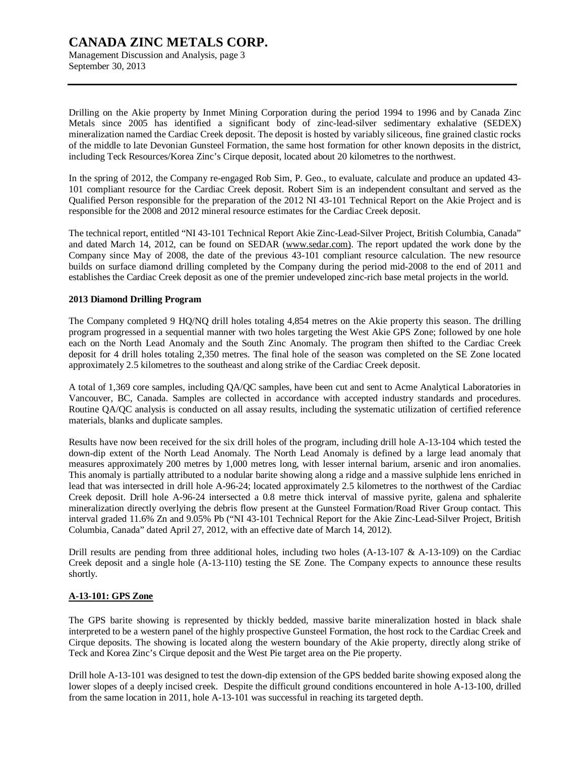Management Discussion and Analysis, page 3 September 30, 2013

Drilling on the Akie property by Inmet Mining Corporation during the period 1994 to 1996 and by Canada Zinc Metals since 2005 has identified a significant body of zinc-lead-silver sedimentary exhalative (SEDEX) mineralization named the Cardiac Creek deposit. The deposit is hosted by variably siliceous, fine grained clastic rocks of the middle to late Devonian Gunsteel Formation, the same host formation for other known deposits in the district, including Teck Resources/Korea Zinc's Cirque deposit, located about 20 kilometres to the northwest.

In the spring of 2012, the Company re-engaged Rob Sim, P. Geo., to evaluate, calculate and produce an updated 43- 101 compliant resource for the Cardiac Creek deposit. Robert Sim is an independent consultant and served as the Qualified Person responsible for the preparation of the 2012 NI 43-101 Technical Report on the Akie Project and is responsible for the 2008 and 2012 mineral resource estimates for the Cardiac Creek deposit.

The technical report, entitled "NI 43-101 Technical Report Akie Zinc-Lead-Silver Project, British Columbia, Canada" and dated March 14, 2012, can be found on SEDAR [\(www.sedar.com\).](http://www.sedar.com)) The report updated the work done by the Company since May of 2008, the date of the previous 43-101 compliant resource calculation. The new resource builds on surface diamond drilling completed by the Company during the period mid-2008 to the end of 2011 and establishes the Cardiac Creek deposit as one of the premier undeveloped zinc-rich base metal projects in the world.

#### **2013 Diamond Drilling Program**

The Company completed 9 HQ/NQ drill holes totaling 4,854 metres on the Akie property this season. The drilling program progressed in a sequential manner with two holes targeting the West Akie GPS Zone; followed by one hole each on the North Lead Anomaly and the South Zinc Anomaly. The program then shifted to the Cardiac Creek deposit for 4 drill holes totaling 2,350 metres. The final hole of the season was completed on the SE Zone located approximately 2.5 kilometres to the southeast and along strike of the Cardiac Creek deposit.

A total of 1,369 core samples, including QA/QC samples, have been cut and sent to Acme Analytical Laboratories in Vancouver, BC, Canada. Samples are collected in accordance with accepted industry standards and procedures. Routine QA/QC analysis is conducted on all assay results, including the systematic utilization of certified reference materials, blanks and duplicate samples.

Results have now been received for the six drill holes of the program, including drill hole A-13-104 which tested the down-dip extent of the North Lead Anomaly. The North Lead Anomaly is defined by a large lead anomaly that measures approximately 200 metres by 1,000 metres long, with lesser internal barium, arsenic and iron anomalies. This anomaly is partially attributed to a nodular barite showing along a ridge and a massive sulphide lens enriched in lead that was intersected in drill hole A-96-24; located approximately 2.5 kilometres to the northwest of the Cardiac Creek deposit. Drill hole A-96-24 intersected a 0.8 metre thick interval of massive pyrite, galena and sphalerite mineralization directly overlying the debris flow present at the Gunsteel Formation/Road River Group contact. This interval graded 11.6% Zn and 9.05% Pb ("NI 43-101 Technical Report for the Akie Zinc-Lead-Silver Project, British Columbia, Canada" dated April 27, 2012, with an effective date of March 14, 2012).

Drill results are pending from three additional holes, including two holes  $(A-13-107 \& A-13-109)$  on the Cardiac Creek deposit and a single hole (A-13-110) testing the SE Zone. The Company expects to announce these results shortly.

#### **A-13-101: GPS Zone**

The GPS barite showing is represented by thickly bedded, massive barite mineralization hosted in black shale interpreted to be a western panel of the highly prospective Gunsteel Formation, the host rock to the Cardiac Creek and Cirque deposits. The showing is located along the western boundary of the Akie property, directly along strike of Teck and Korea Zinc's Cirque deposit and the West Pie target area on the Pie property.

Drill hole A-13-101 was designed to test the down-dip extension of the GPS bedded barite showing exposed along the lower slopes of a deeply incised creek. Despite the difficult ground conditions encountered in hole A-13-100, drilled from the same location in 2011, hole A-13-101 was successful in reaching its targeted depth.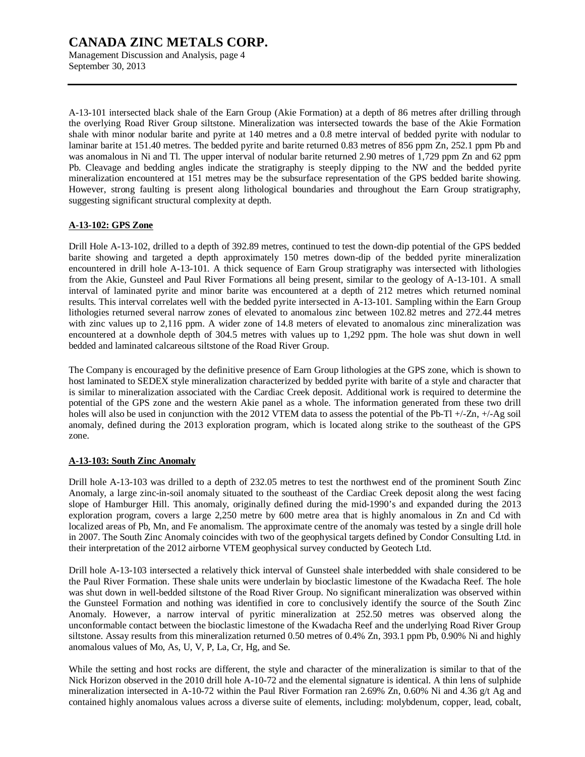Management Discussion and Analysis, page 4 September 30, 2013

A-13-101 intersected black shale of the Earn Group (Akie Formation) at a depth of 86 metres after drilling through the overlying Road River Group siltstone. Mineralization was intersected towards the base of the Akie Formation shale with minor nodular barite and pyrite at 140 metres and a 0.8 metre interval of bedded pyrite with nodular to laminar barite at 151.40 metres. The bedded pyrite and barite returned 0.83 metres of 856 ppm Zn, 252.1 ppm Pb and was anomalous in Ni and Tl. The upper interval of nodular barite returned 2.90 metres of 1,729 ppm Zn and 62 ppm Pb. Cleavage and bedding angles indicate the stratigraphy is steeply dipping to the NW and the bedded pyrite mineralization encountered at 151 metres may be the subsurface representation of the GPS bedded barite showing. However, strong faulting is present along lithological boundaries and throughout the Earn Group stratigraphy, suggesting significant structural complexity at depth.

#### **A-13-102: GPS Zone**

Drill Hole A-13-102, drilled to a depth of 392.89 metres, continued to test the down-dip potential of the GPS bedded barite showing and targeted a depth approximately 150 metres down-dip of the bedded pyrite mineralization encountered in drill hole A-13-101. A thick sequence of Earn Group stratigraphy was intersected with lithologies from the Akie, Gunsteel and Paul River Formations all being present, similar to the geology of A-13-101. A small interval of laminated pyrite and minor barite was encountered at a depth of 212 metres which returned nominal results. This interval correlates well with the bedded pyrite intersected in A-13-101. Sampling within the Earn Group lithologies returned several narrow zones of elevated to anomalous zinc between 102.82 metres and 272.44 metres with zinc values up to 2,116 ppm. A wider zone of 14.8 meters of elevated to anomalous zinc mineralization was encountered at a downhole depth of 304.5 metres with values up to 1,292 ppm. The hole was shut down in well bedded and laminated calcareous siltstone of the Road River Group.

The Company is encouraged by the definitive presence of Earn Group lithologies at the GPS zone, which is shown to host laminated to SEDEX style mineralization characterized by bedded pyrite with barite of a style and character that is similar to mineralization associated with the Cardiac Creek deposit. Additional work is required to determine the potential of the GPS zone and the western Akie panel as a whole. The information generated from these two drill holes will also be used in conjunction with the 2012 VTEM data to assess the potential of the Pb-Tl +/-Zn, +/-Ag soil anomaly, defined during the 2013 exploration program, which is located along strike to the southeast of the GPS zone.

#### **A-13-103: South Zinc Anomaly**

Drill hole A-13-103 was drilled to a depth of 232.05 metres to test the northwest end of the prominent South Zinc Anomaly, a large zinc-in-soil anomaly situated to the southeast of the Cardiac Creek deposit along the west facing slope of Hamburger Hill. This anomaly, originally defined during the mid-1990's and expanded during the 2013 exploration program, covers a large 2,250 metre by 600 metre area that is highly anomalous in Zn and Cd with localized areas of Pb, Mn, and Fe anomalism. The approximate centre of the anomaly was tested by a single drill hole in 2007. The South Zinc Anomaly coincides with two of the geophysical targets defined by Condor Consulting Ltd. in their interpretation of the 2012 airborne VTEM geophysical survey conducted by Geotech Ltd.

Drill hole A-13-103 intersected a relatively thick interval of Gunsteel shale interbedded with shale considered to be the Paul River Formation. These shale units were underlain by bioclastic limestone of the Kwadacha Reef. The hole was shut down in well-bedded siltstone of the Road River Group. No significant mineralization was observed within the Gunsteel Formation and nothing was identified in core to conclusively identify the source of the South Zinc Anomaly. However, a narrow interval of pyritic mineralization at 252.50 metres was observed along the unconformable contact between the bioclastic limestone of the Kwadacha Reef and the underlying Road River Group siltstone. Assay results from this mineralization returned 0.50 metres of 0.4% Zn, 393.1 ppm Pb, 0.90% Ni and highly anomalous values of Mo, As, U, V, P, La, Cr, Hg, and Se.

While the setting and host rocks are different, the style and character of the mineralization is similar to that of the Nick Horizon observed in the 2010 drill hole A-10-72 and the elemental signature is identical. A thin lens of sulphide mineralization intersected in A-10-72 within the Paul River Formation ran 2.69% Zn, 0.60% Ni and 4.36 g/t Ag and contained highly anomalous values across a diverse suite of elements, including: molybdenum, copper, lead, cobalt,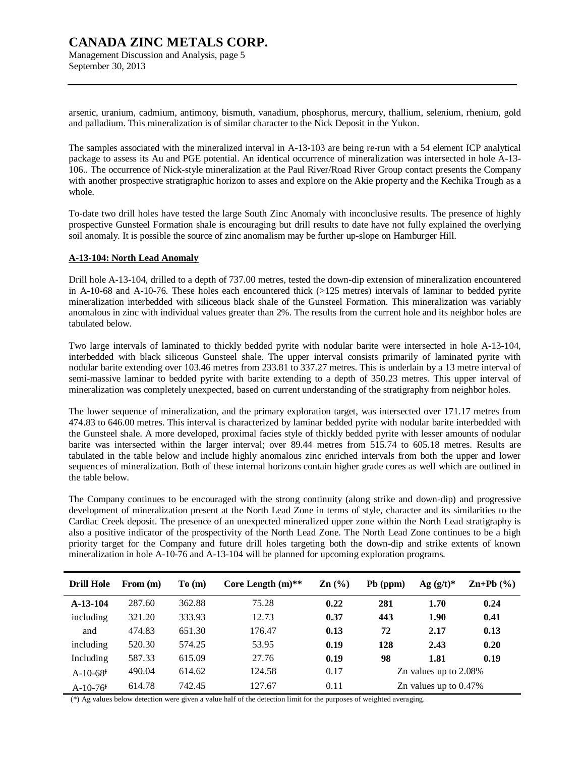Management Discussion and Analysis, page 5 September 30, 2013

arsenic, uranium, cadmium, antimony, bismuth, vanadium, phosphorus, mercury, thallium, selenium, rhenium, gold and palladium. This mineralization is of similar character to the Nick Deposit in the Yukon.

The samples associated with the mineralized interval in A-13-103 are being re-run with a 54 element ICP analytical package to assess its Au and PGE potential. An identical occurrence of mineralization was intersected in hole A-13- 106.. The occurrence of Nick-style mineralization at the Paul River/Road River Group contact presents the Company with another prospective stratigraphic horizon to asses and explore on the Akie property and the Kechika Trough as a whole.

To-date two drill holes have tested the large South Zinc Anomaly with inconclusive results. The presence of highly prospective Gunsteel Formation shale is encouraging but drill results to date have not fully explained the overlying soil anomaly. It is possible the source of zinc anomalism may be further up-slope on Hamburger Hill.

#### **A-13-104: North Lead Anomaly**

Drill hole A-13-104, drilled to a depth of 737.00 metres, tested the down-dip extension of mineralization encountered in A-10-68 and A-10-76. These holes each encountered thick (>125 metres) intervals of laminar to bedded pyrite mineralization interbedded with siliceous black shale of the Gunsteel Formation. This mineralization was variably anomalous in zinc with individual values greater than 2%. The results from the current hole and its neighbor holes are tabulated below.

Two large intervals of laminated to thickly bedded pyrite with nodular barite were intersected in hole A-13-104, interbedded with black siliceous Gunsteel shale. The upper interval consists primarily of laminated pyrite with nodular barite extending over 103.46 metres from 233.81 to 337.27 metres. This is underlain by a 13 metre interval of semi-massive laminar to bedded pyrite with barite extending to a depth of 350.23 metres. This upper interval of mineralization was completely unexpected, based on current understanding of the stratigraphy from neighbor holes.

The lower sequence of mineralization, and the primary exploration target, was intersected over 171.17 metres from 474.83 to 646.00 metres. This interval is characterized by laminar bedded pyrite with nodular barite interbedded with the Gunsteel shale. A more developed, proximal facies style of thickly bedded pyrite with lesser amounts of nodular barite was intersected within the larger interval; over 89.44 metres from 515.74 to 605.18 metres. Results are tabulated in the table below and include highly anomalous zinc enriched intervals from both the upper and lower sequences of mineralization. Both of these internal horizons contain higher grade cores as well which are outlined in the table below.

The Company continues to be encouraged with the strong continuity (along strike and down-dip) and progressive development of mineralization present at the North Lead Zone in terms of style, character and its similarities to the Cardiac Creek deposit. The presence of an unexpected mineralized upper zone within the North Lead stratigraphy is also a positive indicator of the prospectivity of the North Lead Zone. The North Lead Zone continues to be a high priority target for the Company and future drill holes targeting both the down-dip and strike extents of known mineralization in hole A-10-76 and A-13-104 will be planned for upcoming exploration programs.

| <b>Drill Hole</b>      | From $(m)$ | To(m)  | Core Length $(m)$ ** | $\mathbf{Zn}$ (%) | $Pb$ (ppm) | Ag $(g/t)^*$             | $\mathbf{Zn} + \mathbf{Pb}$ (%) |
|------------------------|------------|--------|----------------------|-------------------|------------|--------------------------|---------------------------------|
| $A-13-104$             | 287.60     | 362.88 | 75.28                | 0.22              | 281        | 1.70                     | 0.24                            |
| including              | 321.20     | 333.93 | 12.73                | 0.37              | 443        | 1.90                     | 0.41                            |
| and                    | 474.83     | 651.30 | 176.47               | 0.13              | 72         | 2.17                     | 0.13                            |
| including              | 520.30     | 574.25 | 53.95                | 0.19              | 128        | 2.43                     | 0.20                            |
| Including              | 587.33     | 615.09 | 27.76                | 0.19              | 98         | 1.81                     | 0.19                            |
| $A-10-68$ <sup>+</sup> | 490.04     | 614.62 | 124.58               | 0.17              |            | Zn values up to 2.08%    |                                 |
| $A-10-76$ <sup>+</sup> | 614.78     | 742.45 | 127.67               | 0.11              |            | Zn values up to $0.47\%$ |                                 |

(\*) Ag values below detection were given a value half of the detection limit for the purposes of weighted averaging.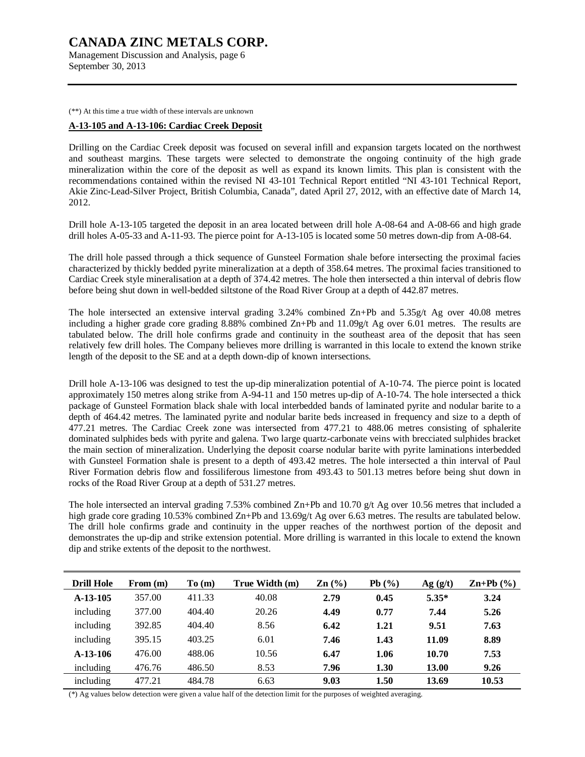Management Discussion and Analysis, page 6 September 30, 2013

(\*\*) At this time a true width of these intervals are unknown

#### **A-13-105 and A-13-106: Cardiac Creek Deposit**

Drilling on the Cardiac Creek deposit was focused on several infill and expansion targets located on the northwest and southeast margins. These targets were selected to demonstrate the ongoing continuity of the high grade mineralization within the core of the deposit as well as expand its known limits. This plan is consistent with the recommendations contained within the revised NI 43-101 Technical Report entitled "NI 43-101 Technical Report, Akie Zinc-Lead-Silver Project, British Columbia, Canada", dated April 27, 2012, with an effective date of March 14, 2012.

Drill hole A-13-105 targeted the deposit in an area located between drill hole A-08-64 and A-08-66 and high grade drill holes A-05-33 and A-11-93. The pierce point for A-13-105 is located some 50 metres down-dip from A-08-64.

The drill hole passed through a thick sequence of Gunsteel Formation shale before intersecting the proximal facies characterized by thickly bedded pyrite mineralization at a depth of 358.64 metres. The proximal facies transitioned to Cardiac Creek style mineralisation at a depth of 374.42 metres. The hole then intersected a thin interval of debris flow before being shut down in well-bedded siltstone of the Road River Group at a depth of 442.87 metres.

The hole intersected an extensive interval grading  $3.24\%$  combined  $\text{Zn}+\text{Pb}$  and  $5.35\text{g/t}$  Ag over 40.08 metres including a higher grade core grading 8.88% combined Zn+Pb and 11.09g/t Ag over 6.01 metres. The results are tabulated below. The drill hole confirms grade and continuity in the southeast area of the deposit that has seen relatively few drill holes. The Company believes more drilling is warranted in this locale to extend the known strike length of the deposit to the SE and at a depth down-dip of known intersections.

Drill hole A-13-106 was designed to test the up-dip mineralization potential of A-10-74. The pierce point is located approximately 150 metres along strike from A-94-11 and 150 metres up-dip of A-10-74. The hole intersected a thick package of Gunsteel Formation black shale with local interbedded bands of laminated pyrite and nodular barite to a depth of 464.42 metres. The laminated pyrite and nodular barite beds increased in frequency and size to a depth of 477.21 metres. The Cardiac Creek zone was intersected from 477.21 to 488.06 metres consisting of sphalerite dominated sulphides beds with pyrite and galena. Two large quartz-carbonate veins with brecciated sulphides bracket the main section of mineralization. Underlying the deposit coarse nodular barite with pyrite laminations interbedded with Gunsteel Formation shale is present to a depth of 493.42 metres. The hole intersected a thin interval of Paul River Formation debris flow and fossiliferous limestone from 493.43 to 501.13 metres before being shut down in rocks of the Road River Group at a depth of 531.27 metres.

The hole intersected an interval grading 7.53% combined Zn+Pb and 10.70 g/t Ag over 10.56 metres that included a high grade core grading 10.53% combined Zn+Pb and 13.69g/t Ag over 6.63 metres. The results are tabulated below. The drill hole confirms grade and continuity in the upper reaches of the northwest portion of the deposit and demonstrates the up-dip and strike extension potential. More drilling is warranted in this locale to extend the known dip and strike extents of the deposit to the northwest.

| <b>Drill Hole</b> | From $(m)$ | To(m)  | True Width (m) | $\mathbf{Zn}$ (%) | Pb(%) | Ag(g/t) | $\mathbf{Zn+Pb}$ (%) |
|-------------------|------------|--------|----------------|-------------------|-------|---------|----------------------|
| $A-13-105$        | 357.00     | 411.33 | 40.08          | 2.79              | 0.45  | $5.35*$ | 3.24                 |
| including         | 377.00     | 404.40 | 20.26          | 4.49              | 0.77  | 7.44    | 5.26                 |
| including         | 392.85     | 404.40 | 8.56           | 6.42              | 1.21  | 9.51    | 7.63                 |
| including         | 395.15     | 403.25 | 6.01           | 7.46              | 1.43  | 11.09   | 8.89                 |
| $A-13-106$        | 476.00     | 488.06 | 10.56          | 6.47              | 1.06  | 10.70   | 7.53                 |
| including         | 476.76     | 486.50 | 8.53           | 7.96              | 1.30  | 13.00   | 9.26                 |
| including         | 477.21     | 484.78 | 6.63           | 9.03              | 1.50  | 13.69   | 10.53                |

(\*) Ag values below detection were given a value half of the detection limit for the purposes of weighted averaging.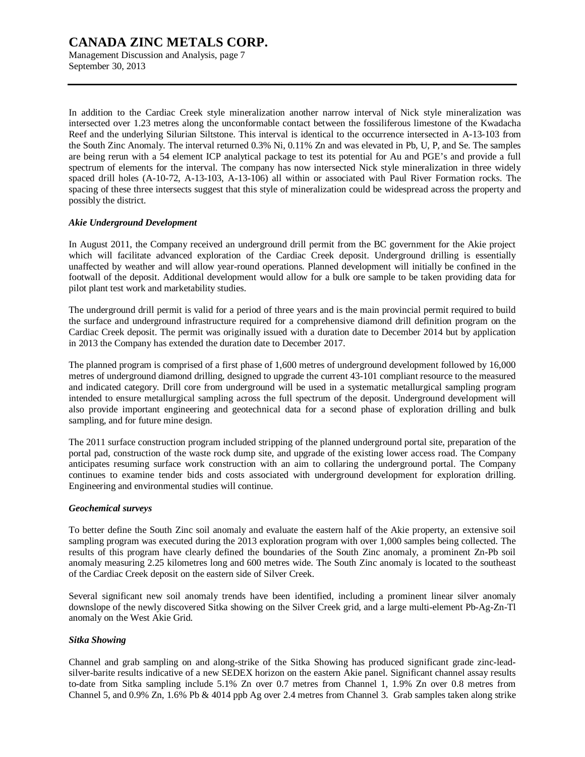Management Discussion and Analysis, page 7 September 30, 2013

In addition to the Cardiac Creek style mineralization another narrow interval of Nick style mineralization was intersected over 1.23 metres along the unconformable contact between the fossiliferous limestone of the Kwadacha Reef and the underlying Silurian Siltstone. This interval is identical to the occurrence intersected in A-13-103 from the South Zinc Anomaly. The interval returned 0.3% Ni, 0.11% Zn and was elevated in Pb, U, P, and Se. The samples are being rerun with a 54 element ICP analytical package to test its potential for Au and PGE's and provide a full spectrum of elements for the interval. The company has now intersected Nick style mineralization in three widely spaced drill holes (A-10-72, A-13-103, A-13-106) all within or associated with Paul River Formation rocks. The spacing of these three intersects suggest that this style of mineralization could be widespread across the property and possibly the district.

#### *Akie Underground Development*

In August 2011, the Company received an underground drill permit from the BC government for the Akie project which will facilitate advanced exploration of the Cardiac Creek deposit. Underground drilling is essentially unaffected by weather and will allow year-round operations. Planned development will initially be confined in the footwall of the deposit. Additional development would allow for a bulk ore sample to be taken providing data for pilot plant test work and marketability studies.

The underground drill permit is valid for a period of three years and is the main provincial permit required to build the surface and underground infrastructure required for a comprehensive diamond drill definition program on the Cardiac Creek deposit. The permit was originally issued with a duration date to December 2014 but by application in 2013 the Company has extended the duration date to December 2017.

The planned program is comprised of a first phase of 1,600 metres of underground development followed by 16,000 metres of underground diamond drilling, designed to upgrade the current 43-101 compliant resource to the measured and indicated category. Drill core from underground will be used in a systematic metallurgical sampling program intended to ensure metallurgical sampling across the full spectrum of the deposit. Underground development will also provide important engineering and geotechnical data for a second phase of exploration drilling and bulk sampling, and for future mine design.

The 2011 surface construction program included stripping of the planned underground portal site, preparation of the portal pad, construction of the waste rock dump site, and upgrade of the existing lower access road. The Company anticipates resuming surface work construction with an aim to collaring the underground portal. The Company continues to examine tender bids and costs associated with underground development for exploration drilling. Engineering and environmental studies will continue.

#### *Geochemical surveys*

To better define the South Zinc soil anomaly and evaluate the eastern half of the Akie property, an extensive soil sampling program was executed during the 2013 exploration program with over 1,000 samples being collected. The results of this program have clearly defined the boundaries of the South Zinc anomaly, a prominent Zn-Pb soil anomaly measuring 2.25 kilometres long and 600 metres wide. The South Zinc anomaly is located to the southeast of the Cardiac Creek deposit on the eastern side of Silver Creek.

Several significant new soil anomaly trends have been identified, including a prominent linear silver anomaly downslope of the newly discovered Sitka showing on the Silver Creek grid, and a large multi-element Pb-Ag-Zn-Tl anomaly on the West Akie Grid.

#### *Sitka Showing*

Channel and grab sampling on and along-strike of the Sitka Showing has produced significant grade zinc-leadsilver-barite results indicative of a new SEDEX horizon on the eastern Akie panel. Significant channel assay results to-date from Sitka sampling include 5.1% Zn over 0.7 metres from Channel 1, 1.9% Zn over 0.8 metres from Channel 5, and 0.9% Zn, 1.6% Pb & 4014 ppb Ag over 2.4 metres from Channel 3. Grab samples taken along strike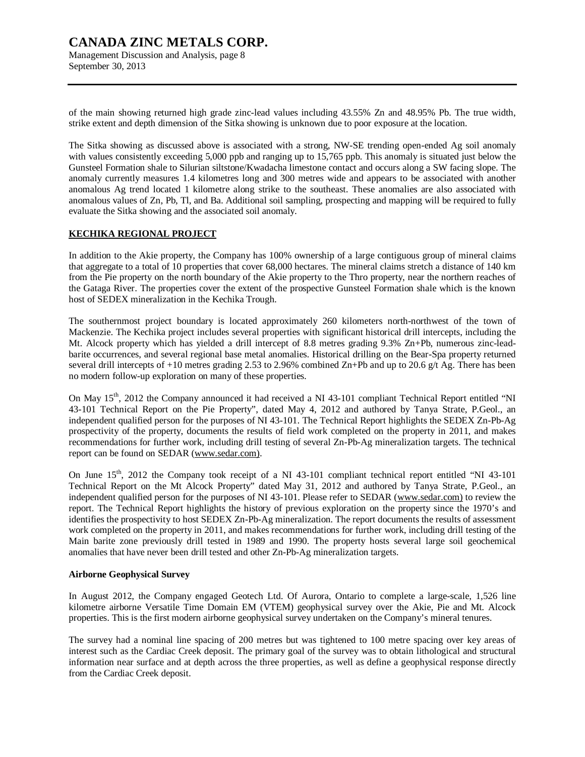### **CANADA ZINC METALS CORP.**  Management Discussion and Analysis, page 8

September 30, 2013

of the main showing returned high grade zinc-lead values including 43.55% Zn and 48.95% Pb. The true width, strike extent and depth dimension of the Sitka showing is unknown due to poor exposure at the location.

The Sitka showing as discussed above is associated with a strong, NW-SE trending open-ended Ag soil anomaly with values consistently exceeding 5,000 ppb and ranging up to 15,765 ppb. This anomaly is situated just below the Gunsteel Formation shale to Silurian siltstone/Kwadacha limestone contact and occurs along a SW facing slope. The anomaly currently measures 1.4 kilometres long and 300 metres wide and appears to be associated with another anomalous Ag trend located 1 kilometre along strike to the southeast. These anomalies are also associated with anomalous values of Zn, Pb, Tl, and Ba. Additional soil sampling, prospecting and mapping will be required to fully evaluate the Sitka showing and the associated soil anomaly.

#### **KECHIKA REGIONAL PROJECT**

In addition to the Akie property, the Company has 100% ownership of a large contiguous group of mineral claims that aggregate to a total of 10 properties that cover 68,000 hectares. The mineral claims stretch a distance of 140 km from the Pie property on the north boundary of the Akie property to the Thro property, near the northern reaches of the Gataga River. The properties cover the extent of the prospective Gunsteel Formation shale which is the known host of SEDEX mineralization in the Kechika Trough.

The southernmost project boundary is located approximately 260 kilometers north-northwest of the town of Mackenzie. The Kechika project includes several properties with significant historical drill intercepts, including the Mt. Alcock property which has yielded a drill intercept of 8.8 metres grading 9.3% Zn+Pb, numerous zinc-leadbarite occurrences, and several regional base metal anomalies. Historical drilling on the Bear-Spa property returned several drill intercepts of  $+10$  metres grading 2.53 to 2.96% combined Zn+Pb and up to 20.6 g/t Ag. There has been no modern follow-up exploration on many of these properties.

On May 15<sup>th</sup>, 2012 the Company announced it had received a NI 43-101 compliant Technical Report entitled "NI 43-101 Technical Report on the Pie Property", dated May 4, 2012 and authored by Tanya Strate, P.Geol., an independent qualified person for the purposes of NI 43-101. The Technical Report highlights the SEDEX Zn-Pb-Ag prospectivity of the property, documents the results of field work completed on the property in 2011, and makes recommendations for further work, including drill testing of several Zn-Pb-Ag mineralization targets. The technical report can be found on SEDAR ([www.sedar.com\).](http://www.sedar.com))

On June 15<sup>th</sup>, 2012 the Company took receipt of a NI 43-101 compliant technical report entitled "NI 43-101" Technical Report on the Mt Alcock Property" dated May 31, 2012 and authored by Tanya Strate, P.Geol., an independent qualified person for the purposes of NI 43-101. Please refer to SEDAR ([www.sedar.com\)](http://www.sedar.com)) to review the report. The Technical Report highlights the history of previous exploration on the property since the 1970's and identifies the prospectivity to host SEDEX Zn-Pb-Ag mineralization. The report documents the results of assessment work completed on the property in 2011, and makes recommendations for further work, including drill testing of the Main barite zone previously drill tested in 1989 and 1990. The property hosts several large soil geochemical anomalies that have never been drill tested and other Zn-Pb-Ag mineralization targets.

#### **Airborne Geophysical Survey**

In August 2012, the Company engaged Geotech Ltd. Of Aurora, Ontario to complete a large-scale, 1,526 line kilometre airborne Versatile Time Domain EM (VTEM) geophysical survey over the Akie, Pie and Mt. Alcock properties. This is the first modern airborne geophysical survey undertaken on the Company's mineral tenures.

The survey had a nominal line spacing of 200 metres but was tightened to 100 metre spacing over key areas of interest such as the Cardiac Creek deposit. The primary goal of the survey was to obtain lithological and structural information near surface and at depth across the three properties, as well as define a geophysical response directly from the Cardiac Creek deposit.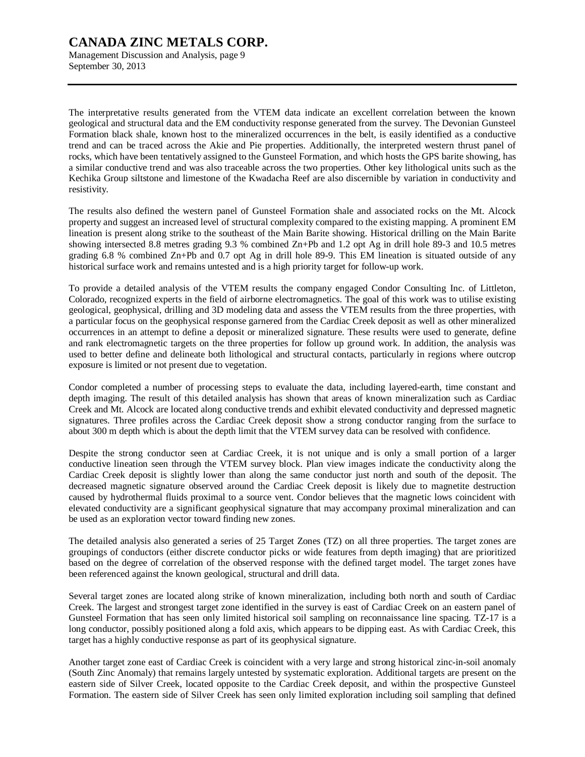Management Discussion and Analysis, page 9 September 30, 2013

The interpretative results generated from the VTEM data indicate an excellent correlation between the known geological and structural data and the EM conductivity response generated from the survey. The Devonian Gunsteel Formation black shale, known host to the mineralized occurrences in the belt, is easily identified as a conductive trend and can be traced across the Akie and Pie properties. Additionally, the interpreted western thrust panel of rocks, which have been tentatively assigned to the Gunsteel Formation, and which hosts the GPS barite showing, has a similar conductive trend and was also traceable across the two properties. Other key lithological units such as the Kechika Group siltstone and limestone of the Kwadacha Reef are also discernible by variation in conductivity and resistivity.

The results also defined the western panel of Gunsteel Formation shale and associated rocks on the Mt. Alcock property and suggest an increased level of structural complexity compared to the existing mapping. A prominent EM lineation is present along strike to the southeast of the Main Barite showing. Historical drilling on the Main Barite showing intersected 8.8 metres grading 9.3 % combined Zn+Pb and 1.2 opt Ag in drill hole 89-3 and 10.5 metres grading 6.8 % combined Zn+Pb and 0.7 opt Ag in drill hole 89-9. This EM lineation is situated outside of any historical surface work and remains untested and is a high priority target for follow-up work.

To provide a detailed analysis of the VTEM results the company engaged Condor Consulting Inc. of Littleton, Colorado, recognized experts in the field of airborne electromagnetics. The goal of this work was to utilise existing geological, geophysical, drilling and 3D modeling data and assess the VTEM results from the three properties, with a particular focus on the geophysical response garnered from the Cardiac Creek deposit as well as other mineralized occurrences in an attempt to define a deposit or mineralized signature. These results were used to generate, define and rank electromagnetic targets on the three properties for follow up ground work. In addition, the analysis was used to better define and delineate both lithological and structural contacts, particularly in regions where outcrop exposure is limited or not present due to vegetation.

Condor completed a number of processing steps to evaluate the data, including layered-earth, time constant and depth imaging. The result of this detailed analysis has shown that areas of known mineralization such as Cardiac Creek and Mt. Alcock are located along conductive trends and exhibit elevated conductivity and depressed magnetic signatures. Three profiles across the Cardiac Creek deposit show a strong conductor ranging from the surface to about 300 m depth which is about the depth limit that the VTEM survey data can be resolved with confidence.

Despite the strong conductor seen at Cardiac Creek, it is not unique and is only a small portion of a larger conductive lineation seen through the VTEM survey block. Plan view images indicate the conductivity along the Cardiac Creek deposit is slightly lower than along the same conductor just north and south of the deposit. The decreased magnetic signature observed around the Cardiac Creek deposit is likely due to magnetite destruction caused by hydrothermal fluids proximal to a source vent. Condor believes that the magnetic lows coincident with elevated conductivity are a significant geophysical signature that may accompany proximal mineralization and can be used as an exploration vector toward finding new zones.

The detailed analysis also generated a series of 25 Target Zones (TZ) on all three properties. The target zones are groupings of conductors (either discrete conductor picks or wide features from depth imaging) that are prioritized based on the degree of correlation of the observed response with the defined target model. The target zones have been referenced against the known geological, structural and drill data.

Several target zones are located along strike of known mineralization, including both north and south of Cardiac Creek. The largest and strongest target zone identified in the survey is east of Cardiac Creek on an eastern panel of Gunsteel Formation that has seen only limited historical soil sampling on reconnaissance line spacing. TZ-17 is a long conductor, possibly positioned along a fold axis, which appears to be dipping east. As with Cardiac Creek, this target has a highly conductive response as part of its geophysical signature.

Another target zone east of Cardiac Creek is coincident with a very large and strong historical zinc-in-soil anomaly (South Zinc Anomaly) that remains largely untested by systematic exploration. Additional targets are present on the eastern side of Silver Creek, located opposite to the Cardiac Creek deposit, and within the prospective Gunsteel Formation. The eastern side of Silver Creek has seen only limited exploration including soil sampling that defined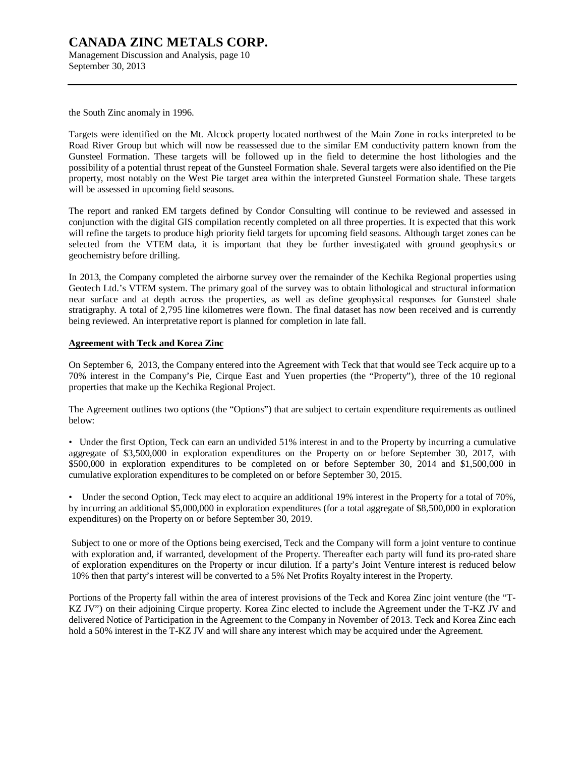Management Discussion and Analysis, page 10 September 30, 2013

the South Zinc anomaly in 1996.

Targets were identified on the Mt. Alcock property located northwest of the Main Zone in rocks interpreted to be Road River Group but which will now be reassessed due to the similar EM conductivity pattern known from the Gunsteel Formation. These targets will be followed up in the field to determine the host lithologies and the possibility of a potential thrust repeat of the Gunsteel Formation shale. Several targets were also identified on the Pie property, most notably on the West Pie target area within the interpreted Gunsteel Formation shale. These targets will be assessed in upcoming field seasons.

The report and ranked EM targets defined by Condor Consulting will continue to be reviewed and assessed in conjunction with the digital GIS compilation recently completed on all three properties. It is expected that this work will refine the targets to produce high priority field targets for upcoming field seasons. Although target zones can be selected from the VTEM data, it is important that they be further investigated with ground geophysics or geochemistry before drilling.

In 2013, the Company completed the airborne survey over the remainder of the Kechika Regional properties using Geotech Ltd.'s VTEM system. The primary goal of the survey was to obtain lithological and structural information near surface and at depth across the properties, as well as define geophysical responses for Gunsteel shale stratigraphy. A total of 2,795 line kilometres were flown. The final dataset has now been received and is currently being reviewed. An interpretative report is planned for completion in late fall.

#### **Agreement with Teck and Korea Zinc**

On September 6, 2013, the Company entered into the Agreement with Teck that that would see Teck acquire up to a 70% interest in the Company's Pie, Cirque East and Yuen properties (the "Property"), three of the 10 regional properties that make up the Kechika Regional Project.

The Agreement outlines two options (the "Options") that are subject to certain expenditure requirements as outlined below:

• Under the first Option, Teck can earn an undivided 51% interest in and to the Property by incurring a cumulative aggregate of \$3,500,000 in exploration expenditures on the Property on or before September 30, 2017, with \$500,000 in exploration expenditures to be completed on or before September 30, 2014 and \$1,500,000 in cumulative exploration expenditures to be completed on or before September 30, 2015.

• Under the second Option, Teck may elect to acquire an additional 19% interest in the Property for a total of 70%, by incurring an additional \$5,000,000 in exploration expenditures (for a total aggregate of \$8,500,000 in exploration expenditures) on the Property on or before September 30, 2019.

Subject to one or more of the Options being exercised, Teck and the Company will form a joint venture to continue with exploration and, if warranted, development of the Property. Thereafter each party will fund its pro-rated share of exploration expenditures on the Property or incur dilution. If a party's Joint Venture interest is reduced below 10% then that party's interest will be converted to a 5% Net Profits Royalty interest in the Property.

Portions of the Property fall within the area of interest provisions of the Teck and Korea Zinc joint venture (the "T-KZ JV") on their adjoining Cirque property. Korea Zinc elected to include the Agreement under the T-KZ JV and delivered Notice of Participation in the Agreement to the Company in November of 2013. Teck and Korea Zinc each hold a 50% interest in the T-KZ JV and will share any interest which may be acquired under the Agreement.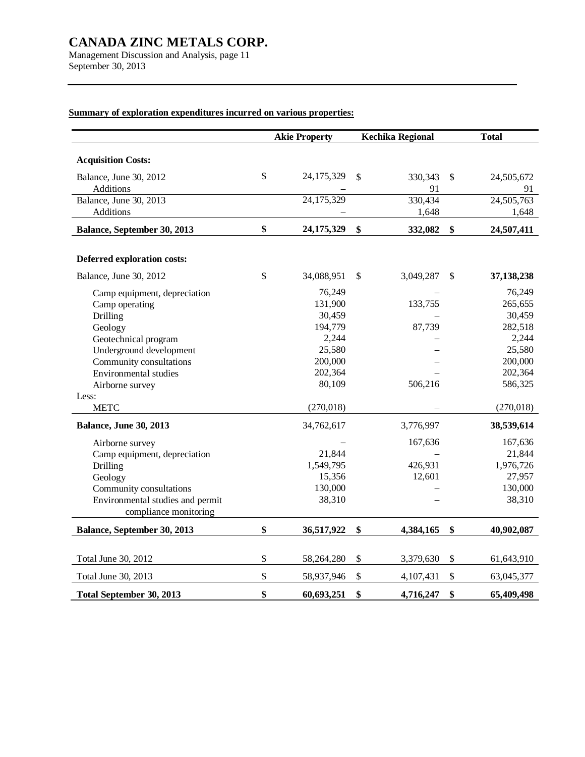Management Discussion and Analysis, page 11 September 30, 2013

## **Summary of exploration expenditures incurred on various properties:**

|                                            | <b>Akie Property</b> |    | <b>Kechika Regional</b> | <b>Total</b>        |
|--------------------------------------------|----------------------|----|-------------------------|---------------------|
|                                            |                      |    |                         |                     |
| <b>Acquisition Costs:</b>                  |                      |    |                         |                     |
| Balance, June 30, 2012                     | \$<br>24,175,329     | \$ | 330,343                 | \$<br>24,505,672    |
| Additions                                  |                      |    | 91                      | 91                  |
| Balance, June 30, 2013<br><b>Additions</b> | 24,175,329           |    | 330,434<br>1,648        | 24,505,763<br>1,648 |
|                                            |                      |    |                         |                     |
| Balance, September 30, 2013                | \$<br>24,175,329     | \$ | 332,082                 | \$<br>24,507,411    |
| <b>Deferred exploration costs:</b>         |                      |    |                         |                     |
| Balance, June 30, 2012                     | \$<br>34,088,951     | S  | 3,049,287               | \$<br>37,138,238    |
| Camp equipment, depreciation               | 76,249               |    |                         | 76,249              |
| Camp operating                             | 131,900              |    | 133,755                 | 265,655             |
| Drilling                                   | 30,459               |    |                         | 30,459              |
| Geology                                    | 194,779              |    | 87,739                  | 282,518             |
| Geotechnical program                       | 2,244                |    |                         | 2,244               |
| Underground development                    | 25,580               |    |                         | 25,580              |
| Community consultations                    | 200,000              |    |                         | 200,000             |
| Environmental studies                      | 202,364              |    |                         | 202,364             |
| Airborne survey                            | 80,109               |    | 506,216                 | 586,325             |
| Less:                                      |                      |    |                         |                     |
| <b>METC</b>                                | (270,018)            |    |                         | (270, 018)          |
| <b>Balance, June 30, 2013</b>              | 34,762,617           |    | 3,776,997               | 38,539,614          |
| Airborne survey                            |                      |    | 167,636                 | 167,636             |
| Camp equipment, depreciation               | 21,844               |    |                         | 21,844              |
| Drilling                                   | 1,549,795            |    | 426,931                 | 1,976,726           |
| Geology                                    | 15,356               |    | 12,601                  | 27,957              |
| Community consultations                    | 130,000              |    |                         | 130,000             |
| Environmental studies and permit           | 38,310               |    |                         | 38,310              |
| compliance monitoring                      |                      |    |                         |                     |
| Balance, September 30, 2013                | \$<br>36,517,922     | \$ | 4,384,165               | \$<br>40,902,087    |
|                                            |                      |    |                         |                     |
| Total June 30, 2012                        | \$<br>58,264,280     | \$ | 3,379,630               | \$<br>61,643,910    |
| Total June 30, 2013                        | \$<br>58,937,946     | \$ | 4,107,431               | \$<br>63,045,377    |
| Total September 30, 2013                   | \$<br>60,693,251     | \$ | 4,716,247               | \$<br>65,409,498    |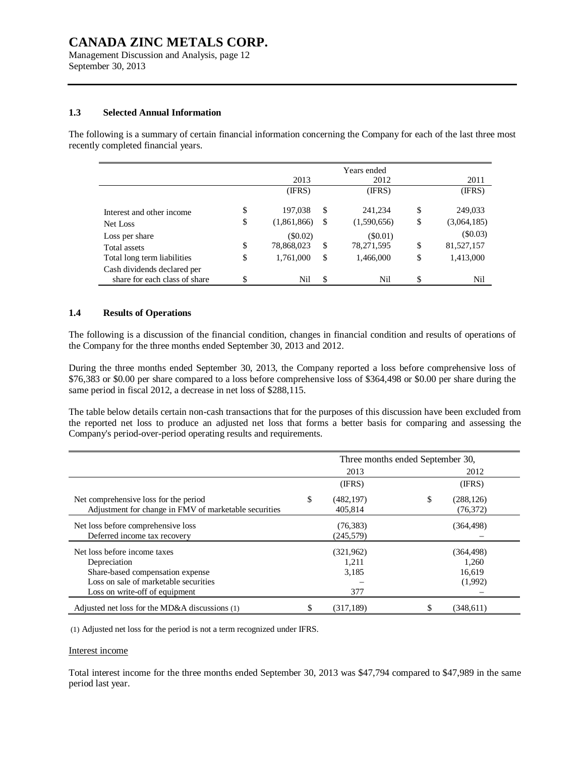Management Discussion and Analysis, page 12 September 30, 2013

#### **1.3 Selected Annual Information**

The following is a summary of certain financial information concerning the Company for each of the last three most recently completed financial years.

|                                                              |                   |    | Years ended |    |             |
|--------------------------------------------------------------|-------------------|----|-------------|----|-------------|
|                                                              | 2013              |    | 2012        |    | 2011        |
|                                                              | (IFRS)            |    | (IFRS)      |    | (IFRS)      |
| Interest and other income                                    | \$<br>197,038     | S. | 241,234     | \$ | 249,033     |
| Net Loss                                                     | \$<br>(1,861,866) | -S | (1,590,656) | \$ | (3,064,185) |
| Loss per share                                               | $(\$0.02)$        |    | (S0.01)     |    | (\$0.03)    |
| Total assets                                                 | \$<br>78,868,023  | S. | 78,271,595  | \$ | 81,527,157  |
| Total long term liabilities                                  | \$<br>1,761,000   | \$ | 1,466,000   | \$ | 1,413,000   |
| Cash dividends declared per<br>share for each class of share | \$<br>Nil         | \$ | Nil         | S  | Nil         |

#### **1.4 Results of Operations**

The following is a discussion of the financial condition, changes in financial condition and results of operations of the Company for the three months ended September 30, 2013 and 2012.

During the three months ended September 30, 2013, the Company reported a loss before comprehensive loss of \$76,383 or \$0.00 per share compared to a loss before comprehensive loss of \$364,498 or \$0.00 per share during the same period in fiscal 2012, a decrease in net loss of \$288,115.

The table below details certain non-cash transactions that for the purposes of this discussion have been excluded from the reported net loss to produce an adjusted net loss that forms a better basis for comparing and assessing the Company's period-over-period operating results and requirements.

|                                                       | Three months ended September 30, |            |    |            |  |
|-------------------------------------------------------|----------------------------------|------------|----|------------|--|
|                                                       |                                  | 2013       |    | 2012       |  |
|                                                       |                                  | (IFRS)     |    | (IFRS)     |  |
| Net comprehensive loss for the period                 | \$                               | (482, 197) | \$ | (288, 126) |  |
| Adjustment for change in FMV of marketable securities |                                  | 405.814    |    | (76, 372)  |  |
| Net loss before comprehensive loss                    |                                  | (76, 383)  |    | (364, 498) |  |
| Deferred income tax recovery                          |                                  | (245, 579) |    |            |  |
| Net loss before income taxes                          |                                  | (321,962)  |    | (364, 498) |  |
| Depreciation                                          |                                  | 1,211      |    | 1,260      |  |
| Share-based compensation expense                      |                                  | 3,185      |    | 16.619     |  |
| Loss on sale of marketable securities                 |                                  |            |    | (1,992)    |  |
| Loss on write-off of equipment                        |                                  | 377        |    |            |  |
| Adjusted net loss for the MD&A discussions $(1)$      |                                  | (317, 189) |    | (348, 611) |  |

(1) Adjusted net loss for the period is not a term recognized under IFRS.

#### Interest income

Total interest income for the three months ended September 30, 2013 was \$47,794 compared to \$47,989 in the same period last year.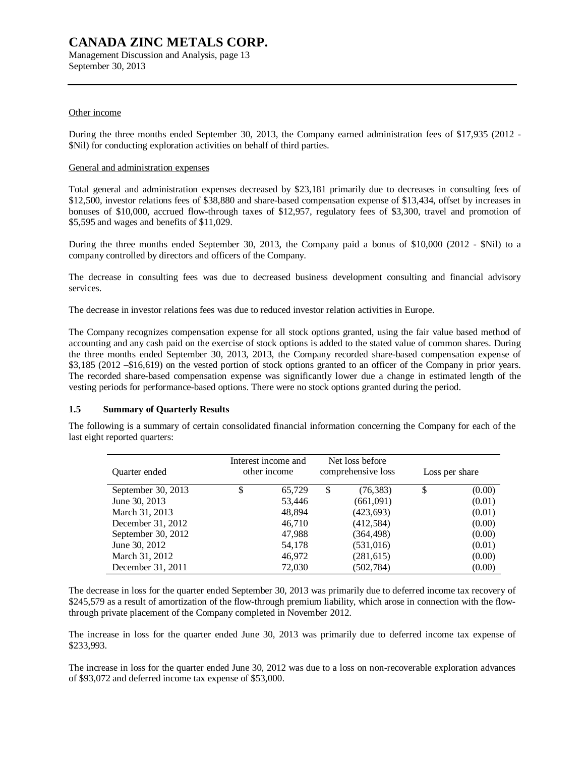Management Discussion and Analysis, page 13 September 30, 2013

#### Other income

During the three months ended September 30, 2013, the Company earned administration fees of \$17,935 (2012 - \$Nil) for conducting exploration activities on behalf of third parties.

#### General and administration expenses

Total general and administration expenses decreased by \$23,181 primarily due to decreases in consulting fees of \$12,500, investor relations fees of \$38,880 and share-based compensation expense of \$13,434, offset by increases in bonuses of \$10,000, accrued flow-through taxes of \$12,957, regulatory fees of \$3,300, travel and promotion of \$5,595 and wages and benefits of \$11,029.

During the three months ended September 30, 2013, the Company paid a bonus of \$10,000 (2012 - \$Nil) to a company controlled by directors and officers of the Company.

The decrease in consulting fees was due to decreased business development consulting and financial advisory services.

The decrease in investor relations fees was due to reduced investor relation activities in Europe.

The Company recognizes compensation expense for all stock options granted, using the fair value based method of accounting and any cash paid on the exercise of stock options is added to the stated value of common shares. During the three months ended September 30, 2013, 2013, the Company recorded share-based compensation expense of \$3,185 (2012 –\$16,619) on the vested portion of stock options granted to an officer of the Company in prior years. The recorded share-based compensation expense was significantly lower due a change in estimated length of the vesting periods for performance-based options. There were no stock options granted during the period.

#### **1.5 Summary of Quarterly Results**

The following is a summary of certain consolidated financial information concerning the Company for each of the last eight reported quarters:

| <b>Ouarter</b> ended | Interest income and<br>other income |        | Net loss before<br>comprehensive loss | Loss per share |
|----------------------|-------------------------------------|--------|---------------------------------------|----------------|
| September 30, 2013   |                                     | 65,729 | \$<br>(76, 383)                       | \$<br>(0.00)   |
| June 30, 2013        |                                     | 53,446 | (661,091)                             | (0.01)         |
| March 31, 2013       |                                     | 48,894 | (423, 693)                            | (0.01)         |
| December 31, 2012    |                                     | 46,710 | (412,584)                             | (0.00)         |
| September 30, 2012   |                                     | 47,988 | (364, 498)                            | (0.00)         |
| June 30, 2012        |                                     | 54,178 | (531, 016)                            | (0.01)         |
| March 31, 2012       |                                     | 46,972 | (281, 615)                            | (0.00)         |
| December 31, 2011    |                                     | 72,030 | (502,784)                             | (0.00)         |

The decrease in loss for the quarter ended September 30, 2013 was primarily due to deferred income tax recovery of \$245,579 as a result of amortization of the flow-through premium liability, which arose in connection with the flowthrough private placement of the Company completed in November 2012.

The increase in loss for the quarter ended June 30, 2013 was primarily due to deferred income tax expense of \$233,993.

The increase in loss for the quarter ended June 30, 2012 was due to a loss on non-recoverable exploration advances of \$93,072 and deferred income tax expense of \$53,000.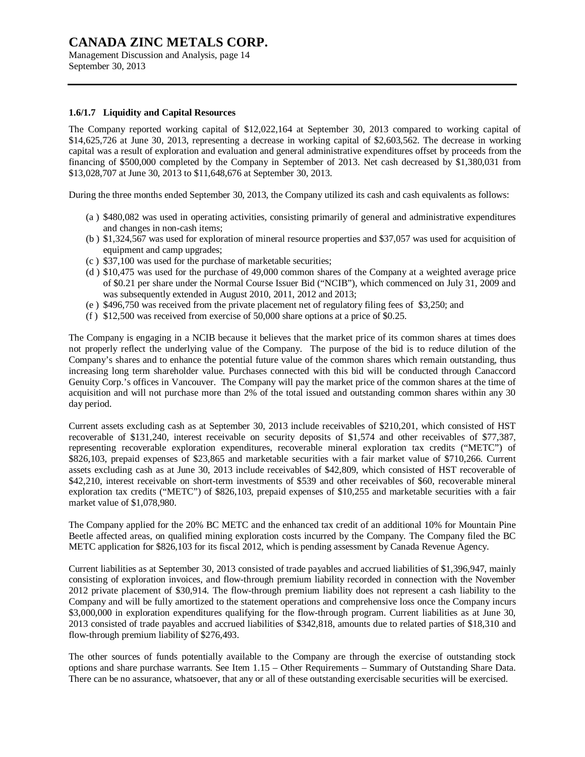Management Discussion and Analysis, page 14 September 30, 2013

#### **1.6/1.7 Liquidity and Capital Resources**

The Company reported working capital of \$12,022,164 at September 30, 2013 compared to working capital of \$14,625,726 at June 30, 2013, representing a decrease in working capital of \$2,603,562. The decrease in working capital was a result of exploration and evaluation and general administrative expenditures offset by proceeds from the financing of \$500,000 completed by the Company in September of 2013. Net cash decreased by \$1,380,031 from \$13,028,707 at June 30, 2013 to \$11,648,676 at September 30, 2013.

During the three months ended September 30, 2013, the Company utilized its cash and cash equivalents as follows:

- (a ) \$480,082 was used in operating activities, consisting primarily of general and administrative expenditures and changes in non-cash items;
- (b ) \$1,324,567 was used for exploration of mineral resource properties and \$37,057 was used for acquisition of equipment and camp upgrades;
- (c ) \$37,100 was used for the purchase of marketable securities;
- (d ) \$10,475 was used for the purchase of 49,000 common shares of the Company at a weighted average price of \$0.21 per share under the Normal Course Issuer Bid ("NCIB"), which commenced on July 31, 2009 and was subsequently extended in August 2010, 2011, 2012 and 2013;
- (e ) \$496,750 was received from the private placement net of regulatory filing fees of \$3,250; and
- (f ) \$12,500 was received from exercise of 50,000 share options at a price of \$0.25.

The Company is engaging in a NCIB because it believes that the market price of its common shares at times does not properly reflect the underlying value of the Company. The purpose of the bid is to reduce dilution of the Company's shares and to enhance the potential future value of the common shares which remain outstanding, thus increasing long term shareholder value. Purchases connected with this bid will be conducted through Canaccord Genuity Corp.'s offices in Vancouver. The Company will pay the market price of the common shares at the time of acquisition and will not purchase more than 2% of the total issued and outstanding common shares within any 30 day period.

Current assets excluding cash as at September 30, 2013 include receivables of \$210,201, which consisted of HST recoverable of \$131,240, interest receivable on security deposits of \$1,574 and other receivables of \$77,387, representing recoverable exploration expenditures, recoverable mineral exploration tax credits ("METC") of \$826,103, prepaid expenses of \$23,865 and marketable securities with a fair market value of \$710,266. Current assets excluding cash as at June 30, 2013 include receivables of \$42,809, which consisted of HST recoverable of \$42,210, interest receivable on short-term investments of \$539 and other receivables of \$60, recoverable mineral exploration tax credits ("METC") of \$826,103, prepaid expenses of \$10,255 and marketable securities with a fair market value of \$1,078,980.

The Company applied for the 20% BC METC and the enhanced tax credit of an additional 10% for Mountain Pine Beetle affected areas, on qualified mining exploration costs incurred by the Company. The Company filed the BC METC application for \$826,103 for its fiscal 2012, which is pending assessment by Canada Revenue Agency.

Current liabilities as at September 30, 2013 consisted of trade payables and accrued liabilities of \$1,396,947, mainly consisting of exploration invoices, and flow-through premium liability recorded in connection with the November 2012 private placement of \$30,914. The flow-through premium liability does not represent a cash liability to the Company and will be fully amortized to the statement operations and comprehensive loss once the Company incurs \$3,000,000 in exploration expenditures qualifying for the flow-through program. Current liabilities as at June 30, 2013 consisted of trade payables and accrued liabilities of \$342,818, amounts due to related parties of \$18,310 and flow-through premium liability of \$276,493.

The other sources of funds potentially available to the Company are through the exercise of outstanding stock options and share purchase warrants. See Item 1.15 – Other Requirements – Summary of Outstanding Share Data. There can be no assurance, whatsoever, that any or all of these outstanding exercisable securities will be exercised.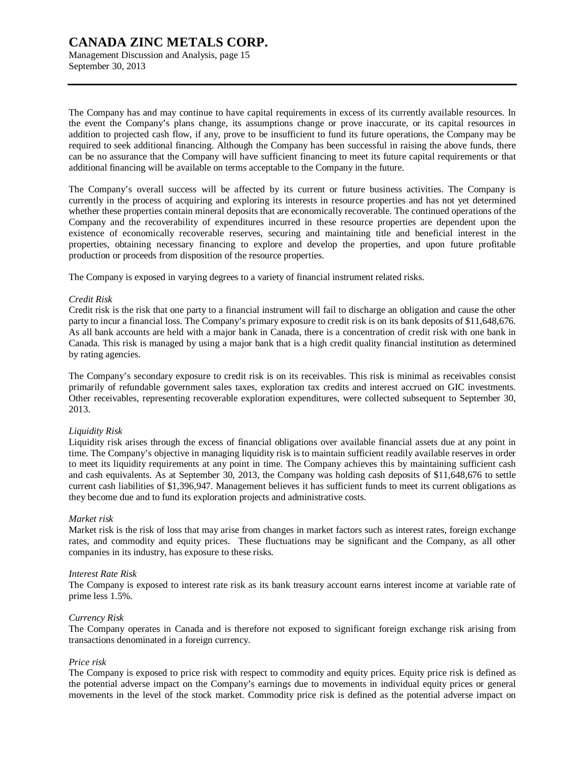Management Discussion and Analysis, page 15 September 30, 2013

The Company has and may continue to have capital requirements in excess of its currently available resources. In the event the Company's plans change, its assumptions change or prove inaccurate, or its capital resources in addition to projected cash flow, if any, prove to be insufficient to fund its future operations, the Company may be required to seek additional financing. Although the Company has been successful in raising the above funds, there can be no assurance that the Company will have sufficient financing to meet its future capital requirements or that additional financing will be available on terms acceptable to the Company in the future.

The Company's overall success will be affected by its current or future business activities. The Company is currently in the process of acquiring and exploring its interests in resource properties and has not yet determined whether these properties contain mineral deposits that are economically recoverable. The continued operations of the Company and the recoverability of expenditures incurred in these resource properties are dependent upon the existence of economically recoverable reserves, securing and maintaining title and beneficial interest in the properties, obtaining necessary financing to explore and develop the properties, and upon future profitable production or proceeds from disposition of the resource properties.

The Company is exposed in varying degrees to a variety of financial instrument related risks.

#### *Credit Risk*

Credit risk is the risk that one party to a financial instrument will fail to discharge an obligation and cause the other party to incur a financial loss. The Company's primary exposure to credit risk is on its bank deposits of \$11,648,676. As all bank accounts are held with a major bank in Canada, there is a concentration of credit risk with one bank in Canada. This risk is managed by using a major bank that is a high credit quality financial institution as determined by rating agencies.

The Company's secondary exposure to credit risk is on its receivables. This risk is minimal as receivables consist primarily of refundable government sales taxes, exploration tax credits and interest accrued on GIC investments. Other receivables, representing recoverable exploration expenditures, were collected subsequent to September 30, 2013.

#### *Liquidity Risk*

Liquidity risk arises through the excess of financial obligations over available financial assets due at any point in time. The Company's objective in managing liquidity risk is to maintain sufficient readily available reserves in order to meet its liquidity requirements at any point in time. The Company achieves this by maintaining sufficient cash and cash equivalents. As at September 30, 2013, the Company was holding cash deposits of \$11,648,676 to settle current cash liabilities of \$1,396,947. Management believes it has sufficient funds to meet its current obligations as they become due and to fund its exploration projects and administrative costs.

#### *Market risk*

Market risk is the risk of loss that may arise from changes in market factors such as interest rates, foreign exchange rates, and commodity and equity prices. These fluctuations may be significant and the Company, as all other companies in its industry, has exposure to these risks.

#### *Interest Rate Risk*

The Company is exposed to interest rate risk as its bank treasury account earns interest income at variable rate of prime less 1.5%.

#### *Currency Risk*

The Company operates in Canada and is therefore not exposed to significant foreign exchange risk arising from transactions denominated in a foreign currency.

#### *Price risk*

The Company is exposed to price risk with respect to commodity and equity prices. Equity price risk is defined as the potential adverse impact on the Company's earnings due to movements in individual equity prices or general movements in the level of the stock market. Commodity price risk is defined as the potential adverse impact on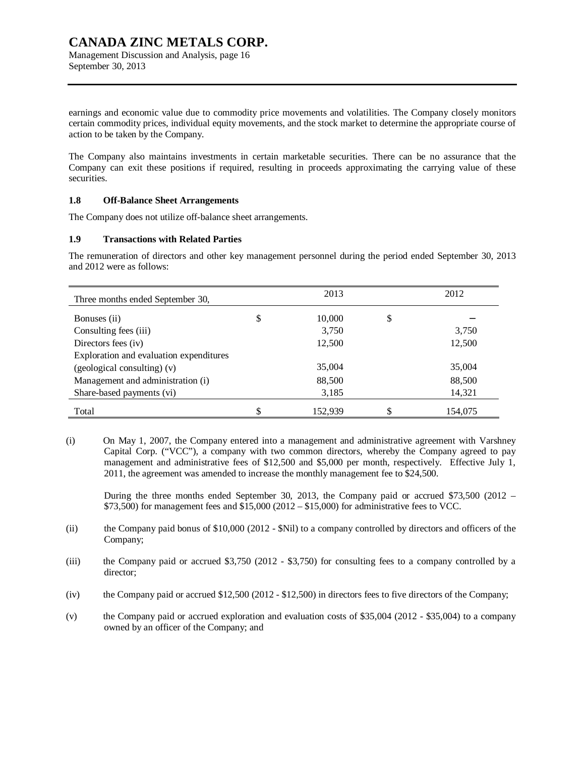Management Discussion and Analysis, page 16 September 30, 2013

earnings and economic value due to commodity price movements and volatilities. The Company closely monitors certain commodity prices, individual equity movements, and the stock market to determine the appropriate course of action to be taken by the Company.

The Company also maintains investments in certain marketable securities. There can be no assurance that the Company can exit these positions if required, resulting in proceeds approximating the carrying value of these securities.

#### **1.8 Off-Balance Sheet Arrangements**

The Company does not utilize off-balance sheet arrangements.

#### **1.9 Transactions with Related Parties**

The remuneration of directors and other key management personnel during the period ended September 30, 2013 and 2012 were as follows:

| Three months ended September 30,        |    | 2013    | 2012    |
|-----------------------------------------|----|---------|---------|
| Bonuses (ii)                            | \$ | 10,000  | \$      |
| Consulting fees (iii)                   |    | 3,750   | 3,750   |
| Directors fees (iv)                     |    | 12,500  | 12,500  |
| Exploration and evaluation expenditures |    |         |         |
| (geological consulting) (v)             |    | 35,004  | 35,004  |
| Management and administration (i)       |    | 88,500  | 88,500  |
| Share-based payments (vi)               |    | 3,185   | 14,321  |
| Total                                   | J  | 152,939 | 154,075 |

(i) On May 1, 2007, the Company entered into a management and administrative agreement with Varshney Capital Corp. ("VCC"), a company with two common directors, whereby the Company agreed to pay management and administrative fees of \$12,500 and \$5,000 per month, respectively. Effective July 1, 2011, the agreement was amended to increase the monthly management fee to \$24,500.

During the three months ended September 30, 2013, the Company paid or accrued \$73,500 (2012 –  $$73,500$ ) for management fees and  $$15,000 (2012 - $15,000)$  for administrative fees to VCC.

- (ii) the Company paid bonus of \$10,000 (2012 \$Nil) to a company controlled by directors and officers of the Company;
- (iii) the Company paid or accrued \$3,750 (2012 \$3,750) for consulting fees to a company controlled by a director;
- (iv) the Company paid or accrued \$12,500 (2012 \$12,500) in directors fees to five directors of the Company;
- (v) the Company paid or accrued exploration and evaluation costs of \$35,004 (2012 \$35,004) to a company owned by an officer of the Company; and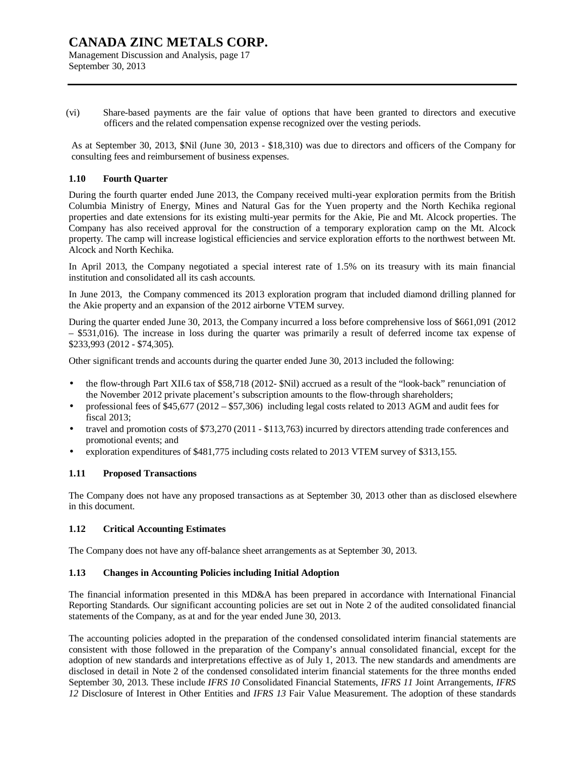Management Discussion and Analysis, page 17 September 30, 2013

(vi) Share-based payments are the fair value of options that have been granted to directors and executive officers and the related compensation expense recognized over the vesting periods.

As at September 30, 2013, \$Nil (June 30, 2013 - \$18,310) was due to directors and officers of the Company for consulting fees and reimbursement of business expenses.

#### **1.10 Fourth Quarter**

During the fourth quarter ended June 2013, the Company received multi-year exploration permits from the British Columbia Ministry of Energy, Mines and Natural Gas for the Yuen property and the North Kechika regional properties and date extensions for its existing multi-year permits for the Akie, Pie and Mt. Alcock properties. The Company has also received approval for the construction of a temporary exploration camp on the Mt. Alcock property. The camp will increase logistical efficiencies and service exploration efforts to the northwest between Mt. Alcock and North Kechika.

In April 2013, the Company negotiated a special interest rate of 1.5% on its treasury with its main financial institution and consolidated all its cash accounts.

In June 2013, the Company commenced its 2013 exploration program that included diamond drilling planned for the Akie property and an expansion of the 2012 airborne VTEM survey.

During the quarter ended June 30, 2013, the Company incurred a loss before comprehensive loss of \$661,091 (2012 – \$531,016). The increase in loss during the quarter was primarily a result of deferred income tax expense of \$233,993 (2012 - \$74,305).

Other significant trends and accounts during the quarter ended June 30, 2013 included the following:

- the flow-through Part XII.6 tax of \$58,718 (2012- \$Nil) accrued as a result of the "look-back" renunciation of the November 2012 private placement's subscription amounts to the flow-through shareholders;
- professional fees of \$45,677 (2012 \$57,306) including legal costs related to 2013 AGM and audit fees for fiscal 2013;
- travel and promotion costs of \$73,270 (2011 \$113,763) incurred by directors attending trade conferences and promotional events; and
- exploration expenditures of \$481,775 including costs related to 2013 VTEM survey of \$313,155.

#### **1.11 Proposed Transactions**

The Company does not have any proposed transactions as at September 30, 2013 other than as disclosed elsewhere in this document.

#### **1.12 Critical Accounting Estimates**

The Company does not have any off-balance sheet arrangements as at September 30, 2013.

#### **1.13 Changes in Accounting Policies including Initial Adoption**

The financial information presented in this MD&A has been prepared in accordance with International Financial Reporting Standards. Our significant accounting policies are set out in Note 2 of the audited consolidated financial statements of the Company, as at and for the year ended June 30, 2013.

The accounting policies adopted in the preparation of the condensed consolidated interim financial statements are consistent with those followed in the preparation of the Company's annual consolidated financial, except for the adoption of new standards and interpretations effective as of July 1, 2013. The new standards and amendments are disclosed in detail in Note 2 of the condensed consolidated interim financial statements for the three months ended September 30, 2013. These include *IFRS 10* Consolidated Financial Statements, *IFRS 11* Joint Arrangements, *IFRS 12* Disclosure of Interest in Other Entities and *IFRS 13* Fair Value Measurement. The adoption of these standards